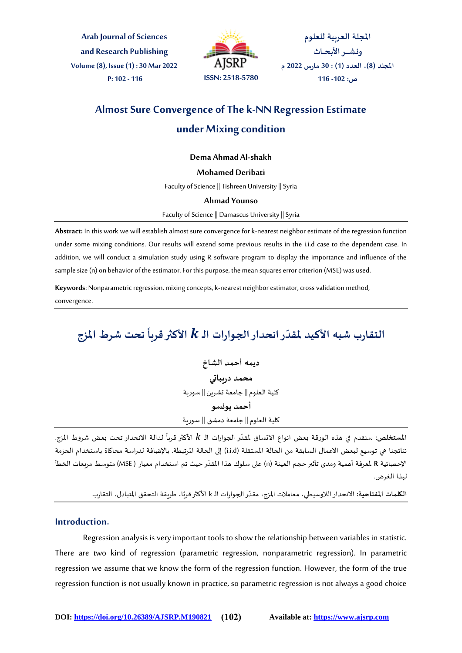**Arab Journal of Sciences and Research Publishing Volume (8), Issue (1) : 30 Mar 2022 P: 102 - 116 ISSN: 2518-5780**



المجلة العربية للعلوم **ونـشــــر األبـحــاث امللجةد )8(، العدد )1( : 30 مارس 2022 م ص: -102 116**

# **Almost Sure Convergence of The k-NN Regression Estimate under Mixing condition**

## **Dema Ahmad Al-shakh**

## **Mohamed Deribati**

Faculty of Science || Tishreen University || Syria

#### **Ahmad Younso**

Faculty of Science || Damascus University || Syria

**Abstract:** In this work we will establish almost sure convergence for k-nearest neighbor estimate of the regression function under some mixing conditions. Our results will extend some previous results in the i.i.d case to the dependent case. In addition, we will conduct a simulation study using R software program to display the importance and influence of the sample size (n) on behavior of the estimator. For this purpose, the mean squares error criterion (MSE) was used.

**Keywords**: Nonparametric regression, mixing concepts, k-nearest neighbor estimator, cross validation method, convergence.

#### التقارب شبه الأكيد لمقدّر انحدار الجوارات الـ k الأكثر قرباً تحت شرط المزج **ّ ً**

**ديمه أحمد الشاخ محمد دريباتي** كلية العلوم || جامعة تشرين || سورية **أحمد يونسو** كلية العلوم || جامعة دمشق || سورية

**. المستخلص**: سنقدم في هذه الورقة بعض انواع الاتساق لمقدّر الجوارات الـ k الأكثر قرباً لدالة الانحدار تحت بعض شروط المزج. ا<br>أ نتائجنا هي توسيع لبعض الاعمال السابقة من الحالة المستقلة (i.i.d) إلى الحالة المرتبطة. بالإضافة لدراسة محاكاة باستخدام الحزمة ֧<u>֚</u> الإحصائية R لمعرفة أهمية ومدى تأثير حجم العينة (n) على سلوك هذا المقدّر حيث تم استخدام معيار ( MSE) متوسط مربعات الخطأ لهذا الغرض.

> ֧<u>֚</u> .<br>**الكلمات المفتاحية:** الانحدار اللاوسيطي، معاملات المزج، مقدّر الجوارات الـ k الأكثر قربًا، طريقة التحقق المتبادل، التقارب

## **Introduction.**

Regression analysis is very important tools to show the relationship between variables in statistic. There are two kind of regression (parametric regression, nonparametric regression). In parametric regression we assume that we know the form of the regression function. However, the form of the true regression function is not usually known in practice, so parametric regression is not always a good choice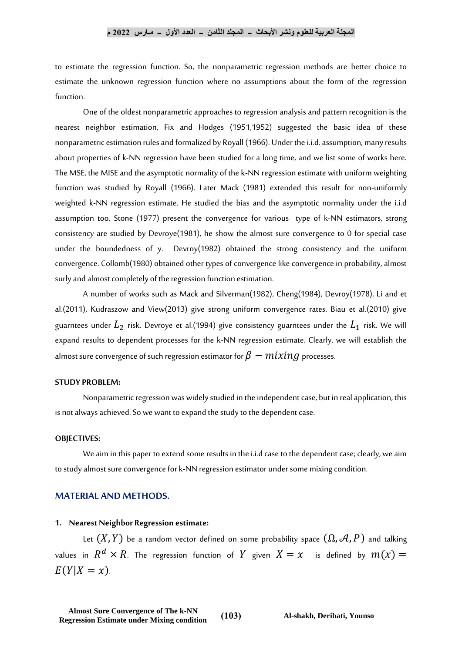to estimate the regression function. So, the nonparametric regression methods are better choice to estimate the unknown regression function where no assumptions about the form of the regression function.

One of the oldest nonparametric approaches to regression analysis and pattern recognition is the nearest neighbor estimation, Fix and Hodges (1951,1952) suggested the basic idea of these nonparametric estimation rules and formalized by Royall (1966). Under the i.i.d. assumption, many results about properties of k-NN regression have been studied for a long time, and we list some of works here. The MSE, the MISE and the asymptotic normality of the k-NN regression estimate with uniform weighting function was studied by Royall (1966). Later Mack (1981) extended this result for non-uniformly weighted k-NN regression estimate. He studied the bias and the asymptotic normality under the i.i.d assumption too. Stone (1977) present the convergence for various type of k-NN estimators, strong consistency are studied by Devroye(1981), he show the almost sure convergence to 0 for special case under the boundedness of y. Devroy(1982) obtained the strong consistency and the uniform convergence. Collomb(1980) obtained other types of convergence like convergence in probability, almost surly and almost completely of the regression function estimation.

A number of works such as Mack and Silverman(1982), Cheng(1984), Devroy(1978), Li and et al.(2011), Kudraszow and View(2013) give strong uniform convergence rates. Biau et al.(2010) give guarntees under  $L_2$  risk. Devroye et al.(1994) give consistency guarntees under the  $L_1$  risk. We will expand results to dependent processes for the k-NN regression estimate. Clearly, we will establish the almost sure convergence of such regression estimator for  $\beta - mixing$  processes.

# **STUDY PROBLEM:**

Nonparametric regression was widely studied in the independent case, but in real application, this is not always achieved. So we want to expand the study to the dependent case.

#### **OBJECTIVES:**

We aim in this paper to extend some results in the i.i.d case to the dependent case; clearly, we aim to study almost sure convergence for k-NN regression estimator under some mixing condition.

## **MATERIAL AND METHODS.**

#### **1. Nearest Neighbor Regression estimate:**

Let  $(X, Y)$  be a random vector defined on some probability space  $(\Omega, \mathcal{A}, P)$  and talking values in  $R^d\times R$ . The regression function of  $Y$  given  $X=x$  is defined by  $m(x)=$  $E(Y|X = x)$ .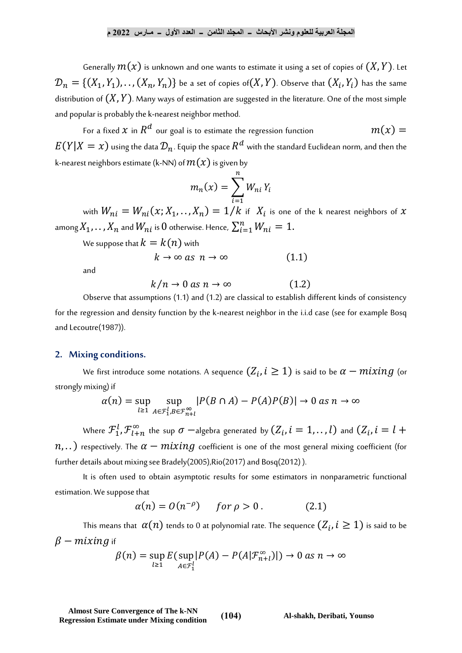Generally  $m(x)$  is unknown and one wants to estimate it using a set of copies of  $(X, Y)$ . Let  ${\mathcal D}_n = \{(X_1, Y_1), \dots, (X_n, Y_n)\}$  be a set of copies of $(X, Y)$ . Observe that  $(X_i, Y_i)$  has the same distribution of  $(X, Y)$ . Many ways of estimation are suggested in the literature. One of the most simple and popular is probably the k-nearest neighbor method.

For a fixed  $x$  in  $R^d$  our goal is to estimate the regression function  $m(x) = \,$  $E(Y|X=x)$  using the data  $\mathcal{D}_n$ . Equip the space  $R^d$  with the standard Euclidean norm, and then the k-nearest neighbors estimate (k-NN) of  $m(x)$  is given by

$$
m_n(x) = \sum_{i=1}^n W_{ni} Y_i
$$

with  $W_{ni} = W_{ni}(x; X_1, \dots, X_n) = 1/k$  if  $|X_i|$  is one of the k nearest neighbors of  $x$ among  $X_1, \ldots, X_n$  and  $W_{ni}$  is  $0$  otherwise. Hence,  $\sum_{i=1}^n W_{ni} = 1.$  $i=1$ 

We suppose that  $k = k(n)$  with

$$
k \to \infty \text{ as } n \to \infty \tag{1.1}
$$

and

$$
k/n \to 0 \text{ as } n \to \infty \tag{1.2}
$$

Observe that assumptions (1.1) and (1.2) are classical to establish different kinds of consistency for the regression and density function by the k-nearest neighbor in the i.i.d case (see for example Bosq and Lecoutre(1987)).

## **2. Mixing conditions.**

We first introduce some notations. A sequence  $(Z_i, i \geq 1)$  is said to be  $\alpha-mixing$  (or strongly mixing) if

$$
\alpha(n) = \sup_{l \ge 1} \sup_{A \in \mathcal{F}_1^l, B \in \mathcal{F}_{n+l}^{\infty}} |P(B \cap A) - P(A)P(B)| \to 0 \text{ as } n \to \infty
$$

Where  ${\cal F}^l_1, {\cal F}^\infty_{l+n}$  the sup  $\sigma$  —algebra generated by  $(Z_i, i=1,..,l)$  and  $(Z_i, i=l+1)$  $n, \ldots$ ) respectively. The  $\alpha - mixing$  coefficient is one of the most general mixing coefficient (for further details about mixing see Bradely(2005),Rio(2017) and Bosq(2012) ).

It is often used to obtain asymptotic results for some estimators in nonparametric functional estimation. We suppose that

$$
\alpha(n) = O(n^{-\rho}) \quad \text{for } \rho > 0. \tag{2.1}
$$

This means that  $\,\alpha(n)$  tends to 0 at polynomial rate. The sequence  $(Z_i, i \geq 1)$  is said to be  $\beta$  – mixing if

$$
\beta(n) = \sup_{l \ge 1} E(\sup_{A \in \mathcal{F}_1^l} |P(A) - P(A|\mathcal{F}_{n+l}^{\infty})|) \to 0 \text{ as } n \to \infty
$$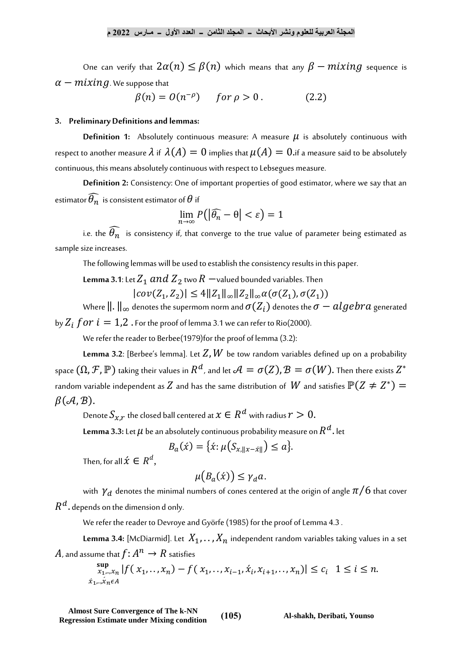One can verify that  $2\alpha(n) \leq \beta(n)$  which means that any  $\beta - mixing$  sequence is  $\alpha - mixing$ . We suppose that

$$
\beta(n) = O(n^{-\rho}) \quad \text{for } \rho > 0. \tag{2.2}
$$

### **3. Preliminary Definitions and lemmas:**

**Definition 1:** Absolutely continuous measure: A measure  $\mu$  is absolutely continuous with respect to another measure  $\lambda$  if  $\lambda(A) = 0$  implies that  $\mu(A) = 0$  if a measure said to be absolutely continuous, this means absolutely continuous with respect to Lebsegues measure.

**Definition 2:** Consistency: One of important properties of good estimator, where we say that an estimator  $\widehat{\theta_n}$  is consistent estimator of  $\theta$  if

$$
\lim_{n\to\infty} P(|\widehat{\theta_n} - \theta| < \varepsilon) = 1
$$

i.e. the  $\widehat{\theta_n}$  is consistency if, that converge to the true value of parameter being estimated as sample size increases.

The following lemmas will be used to establish the consistency results in this paper.

**Lemma 3.1**: Let  $Z_1$  and  $Z_2$  two  $R$   $\neg$  valued bounded variables. Then

 $|cov(Z_1, Z_2)| \leq 4 ||Z_1||_{\infty} ||Z_2||_{\infty} \alpha(\sigma(Z_1), \sigma(Z_1))$ 

Where  $\|\cdot\|_{\infty}$  denotes the supermom norm and  $\sigma(Z_i)$  denotes the  $\sigma-algebra$  generated by  $Z_i$  for  $i = 1,2$ . For the proof of lemma 3.1 we can refer to Rio(2000).

We refer the reader to Berbee(1979)for the proof of lemma (3.2):

**Lemma 3.2:** [Berbee's lemma]. Let  $Z$ ,  $W$  be tow random variables defined up on a probability space  $(\Omega,\mathcal F,\mathbb P)$  taking their values in  $R^d$ , and let  $\mathcal A=\sigma(Z), \mathcal B=\sigma(W).$  Then there exists  $Z^*$ random variable independent as  $Z$  and has the same distribution of  $\ W$  and satisfies  $\mathbb{P}(Z\neq Z^*)=$  $\beta(\mathcal{A}, \mathcal{B})$ .

Denote  $S_{\chi, r}$  the closed ball centered at  $x \in R^d$  with radius  $r > 0.$ 

**Lemma 3.3:** Let  $\mu$  be an absolutely continuous probability measure on  $R^d$  . let

$$
B_a(\acute{x}) = {\acute{x}}: \mu(S_{x,||x-\acute{x}||}) \leq a.
$$

Then, for all  $\acute{x} \in R^d,$ 

$$
\mu\big(B_a(\acute{x})\big)\leq \gamma_d a.
$$

with  $\gamma_d$  denotes the minimal numbers of cones centered at the origin of angle  $\pi/6$  that cover  $R^{\textstyle d}$  . depends on the dimension d only.

We refer the reader to Devroye and Györfe (1985) for the proof of Lemma 4.3 .

**Lemma 3.4:** [McDiarmid]. Let  $X_1, \ldots, X_n$  independent random variables taking values in a set  $A$ , and assume that  $f\colon\! A^n\rightarrow R$  satisfies

$$
\sup_{x_1, \dots, x_n} |f(x_1, \dots, x_n) - f(x_1, \dots, x_{i-1}, \dot{x}_i, x_{i+1}, \dots, x_n)| \le c_i \quad 1 \le i \le n.
$$
  

$$
\lim_{x_1, \dots, x_n \in A} |f(x_1, \dots, x_n) - f(x_1, \dots, x_{i-1}, \dot{x}_i, x_{i+1}, \dots, x_n)| \le c_i \quad 1 \le i \le n.
$$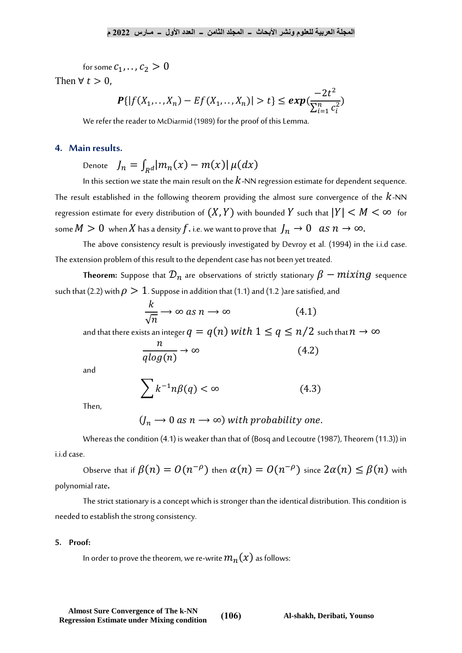for some  $c_1, \ldots, c_2 > 0$ 

Then  $\forall t > 0$ .

$$
\mathbf{P}\{|f(X_1,\ldots,X_n) - Ef(X_1,\ldots,X_n)| > t\} \le \exp\left(\frac{-2t^2}{\sum_{i=1}^n c_i^2}\right)
$$

We refer the reader to McDiarmid (1989) for the proof of this Lemma.

# **4. Main results.**

Denote  $J_n = \int_{R} d|m_n(x) - m(x)| \mu(dx)$ 

In this section we state the main result on the  $k$ -NN regression estimate for dependent sequence. The result established in the following theorem providing the almost sure convergence of the  $k$ -NN regression estimate for every distribution of  $(X, Y)$  with bounded Y such that  $|Y| < M < \infty$  for some  $M > 0$  when X has a density f. i.e. we want to prove that  $J_n \to 0$  as  $n \to \infty$ .

The above consistency result is previously investigated by Devroy et al. (1994) in the i.i.d case. The extension problem of this result to the dependent case has not been yet treated.

**Theorem:** Suppose that  $\mathcal{D}_n$  are observations of strictly stationary  $\beta - mixing$  sequence such that (2.2) with  $\rho > 1$ . Suppose in addition that (1.1) and (1.2) are satisfied, and

$$
\frac{k}{\sqrt{n}} \to \infty \text{ as } n \to \infty \tag{4.1}
$$

and that there exists an integer  $q = q(n)$  with  $1 \leq q \leq n/2$  such that  $n \to \infty$ 

$$
\frac{n}{q \log(n)} \to \infty \tag{4.2}
$$

and

$$
\sum k^{-1} n \beta(q) < \infty \tag{4.3}
$$

Then,

$$
(J_n \rightarrow 0 \text{ as } n \rightarrow \infty)
$$
 with probability one.

Whereas the condition (4.1) is weaker than that of (Bosq and Lecoutre (1987), Theorem (11.3)) in i.i.d case.

Observe that if  $\beta(n) = O(n^{-\rho})$  then  $\alpha(n) = O(n^{-\rho})$  since  $2\alpha(n) \leq \beta(n)$  with polynomial rate.

The strict stationary is a concept which is stronger than the identical distribution. This condition is needed to establish the strong consistency.

## **5. Proof:**

In order to prove the theorem, we re-write  $m_n(x)$  as follows: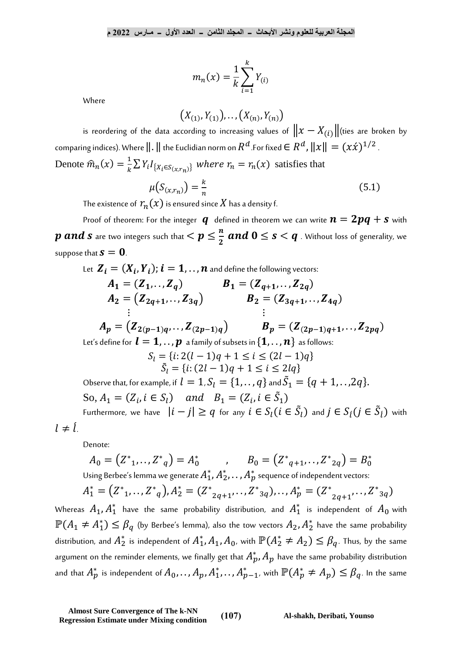$$
m_n(x) = \frac{1}{k} \sum_{i=1}^{k} Y_{(i)}
$$

Where

$$
\big(X_{(1)},Y_{(1)}\big),\dots, \big(X_{(n)},Y_{(n)}\big)
$$

is reordering of the data according to increasing values of  $||x - X_{(i)}||$ (ties are broken by comparing indices). Where  $\|.\|$  the Euclidian norm on  $R^d$  .For fixed  $\in R^d$  ,  $\|x\| = (x \acute{x})^{1/2}$ . Denote  $\hat{m}_n(x) = \frac{1}{k}$  $\frac{1}{k} \sum Y_i I_{\{X_i \in S_{(x,r_n)}\}}$  where  $r_n = r_n(x)$  satisfies that

$$
\mu(S_{(x,r_n)}) = \frac{k}{n} \tag{5.1}
$$

The existence of  $r_n(x)$  is ensured since X has a density f.

Proof of theorem: For the integer  $q$  defined in theorem we can write  $n = 2pq + s$  with  $p$  and  $s$  are two integers such that  $< p \leq \frac{n}{2}$  $\frac{n}{2}$  and  $0 \leq s < q$  . Without loss of generality, we suppose that  $s = 0$ .

Let 
$$
\mathbf{Z}_i = (X_i, Y_i)
$$
;  $i = 1, \ldots, n$  and define the following vectors:\n $A_1 = (Z_1, \ldots, Z_q)$ \n $B_1 = (Z_{q+1}, \ldots, Z_{2q})$ \n $A_2 = (Z_{2q+1}, \ldots, Z_{3q})$ \n $B_2 = (Z_{3q+1}, \ldots, Z_{4q})$ \n $\vdots$ \n $A_p = (Z_{2(p-1)q}, \ldots, Z_{(2p-1)q})$ \n $B_p = (Z_{(2p-1)q+1}, \ldots, Z_{2pq})$ \nLet's define for  $l = 1, \ldots, p$  a family of subsets in  $\{1, \ldots, n\}$  as follows:\n $S_l = \{i : 2(l-1)q + 1 \leq i \leq (2l-1)q\}$ \n $S_l = \{i : (2l-1)q + 1 \leq i \leq 2lq\}$ \nObserve that, for example, if  $l = 1, S_l = \{1, \ldots, q\}$  and  $S_1 = \{q + 1, \ldots, 2q\}$ .\n\nSo,  $A_1 = (Z_i, i \in S_l)$  and  $B_1 = (Z_i, i \in \tilde{S}_1)$ \n\nFurthermore, we have  $|i - j| \geq q$  for any  $i \in S_l(i \in \tilde{S}_l)$  and  $j \in S_l(j \in \tilde{S}_l)$  with  $\neq l$ .

Denote:

≠

$$
A_0 = (Z^*_{1}, \dots, Z^*_{q}) = A_0^*
$$
, 
$$
B_0 = (Z^*_{q+1}, \dots, Z^*_{2q}) = B_0^*
$$
  
Using Berbee's lemma we generate  $A_1^*, A_2^*, \dots, A_p^*$  sequence of independent vectors:

$$
A_1^* = (Z^*_{1}, \dots, Z^*_{q}), A_2^* = (Z^*_{2q+1}, \dots, Z^*_{3q}), \dots, A_p^* = (Z^*_{2q+1}, \dots, Z^*_{3q})
$$

Whereas  $A_1, A_1^*$  have the same probability distribution, and  $A_1^*$  is independent of  $A_0$  with  $\mathbb{P}(A_1 \neq A_1^*) \leq \beta_q$  (by Berbee's lemma), also the tow vectors  $A_2, A_2^*$  have the same probability distribution, and  $A_2^*$  is independent of  $A_1^*,A_1,A_0$ , with  $\mathbb{P}(A_2^*\neq A_2)\leq\beta_q$ . Thus, by the same argument on the reminder elements, we finally get that  $A_p^*,A_p$  have the same probability distribution and that  $A_p^*$  is independent of  $A_0, \dots$  ,  $A_p$  ,  $A_1^*, \dots$  ,  $A_{p-1}^*$  , with  $\mathbb{P}(A_p^*\neq A_p)\leq \beta_q$  . In the same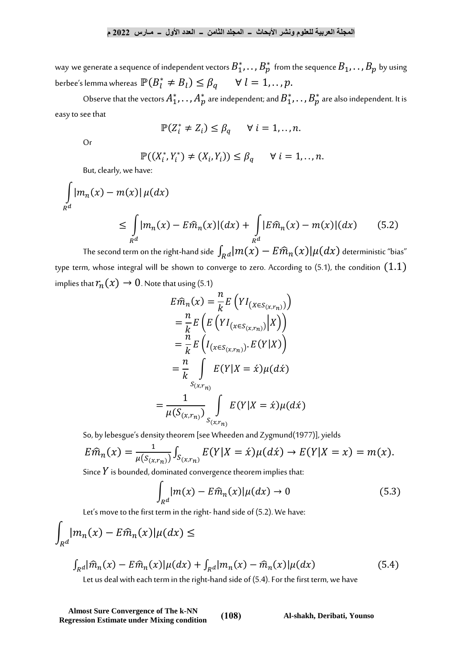way we generate a sequence of independent vectors  $B_1^*, \ldots, B_p^*$  from the sequence  $B_1, \ldots, B_p$  by using berbee's lemma whereas  $\mathbb{P}(B_l^* \neq B_l) \leq \beta_q \quad \forall \ l = 1, ..., p.$ 

Observe that the vectors  $A_1^*,\ldots,A_p^*$  are independent; and  $B_1^*,\ldots,B_p^*$  are also independent. It is easy to see that

$$
\mathbb{P}(Z_i^* \neq Z_i) \leq \beta_q \qquad \forall \ i = 1, ..., n.
$$

Or

$$
\mathbb{P}((X_i^*,Y_i^*)\neq (X_i,Y_i))\leq \beta_q \qquad \forall \ i=1,\ldots,n.
$$

But, clearly, we have:

$$
\int_{R^d} |m_n(x) - m(x)| \mu(dx)
$$
\n
$$
\leq \int_{R^d} |m_n(x) - E\hat{m}_n(x)| (dx) + \int_{R^d} |E\hat{m}_n(x) - m(x)| (dx) \qquad (5.2)
$$

The second term on the right-hand side  $\int_{R^d}\!(m(x)-E \widehat{m}_n(x)|\mu(dx)$  deterministic "bias" type term, whose integral will be shown to converge to zero. According to  $(5.1)$ , the condition  $(1.1)$ implies that  $r_n(x) \to 0$ . Note that using (5.1)

$$
E\hat{m}_n(x) = \frac{n}{k} E\left( YI_{(X \in S_{(x,r_n)})} \right)
$$
  
\n
$$
= \frac{n}{k} E\left( E\left( YI_{(x \in S_{(x,r_n)})} | X \right) \right)
$$
  
\n
$$
= \frac{n}{k} E\left( I_{(x \in S_{(x,r_n)})} E(Y | X) \right)
$$
  
\n
$$
= \frac{n}{k} \int_{S_{(x,r_n)}} E(Y | X = \hat{x}) \mu(d\hat{x})
$$
  
\n
$$
= \frac{1}{\mu(S_{(x,r_n)})} \int_{S_{(x,r_n)}} E(Y | X = \hat{x}) \mu(d\hat{x})
$$

So, by lebesgue's density theorem [see Wheeden and Zygmund(1977)], yields

$$
E\widehat{m}_n(x) = \frac{1}{\mu(S_{(x,r_n)})} \int_{S_{(x,r_n)}} E(Y|X = \acute{x}) \mu(d\acute{x}) \rightarrow E(Y|X = x) = m(x).
$$

Since  $Y$  is bounded, dominated convergence theorem implies that:

$$
\int_{R^d} |m(x) - E\widehat{m}_n(x)| \mu(dx) \to 0 \tag{5.3}
$$

Let's move to the first term in the right- hand side of (5.2). We have:

$$
\int_{R^d} |m_n(x) - E\widehat{m}_n(x)| \mu(dx) \le
$$

$$
\int_{R} d\hat{m}_n(x) - E\hat{m}_n(x)|\mu(dx) + \int_{R} d\hat{m}_n(x) - \hat{m}_n(x)|\mu(dx)
$$
\n(5.4)

Let us deal with each term in the right-hand side of (5.4). For the first term, we have

**Almost Sure Convergence of The k-NN Regression Estimate under Mixing condition** (108) Al-shakh, Deribati, Younso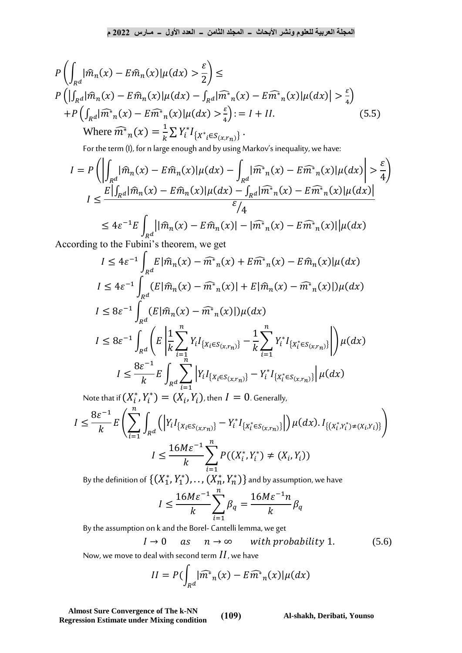$$
P\left(\int_{R^d} |\widehat{m}_n(x) - E\widehat{m}_n(x)|\mu(dx) > \frac{\varepsilon}{2}\right) \le
$$
  
\n
$$
P\left(\left|\int_{R^d} |\widehat{m}_n(x) - E\widehat{m}_n(x)|\mu(dx) - \int_{R^d} |\widehat{m}^*_{n}(x) - E\widehat{m}^*_{n}(x)|\mu(dx)\right| > \frac{\varepsilon}{4}\right)
$$
  
\n
$$
+P\left(\int_{R^d} |\widehat{m}^*_{n}(x) - E\widehat{m}^*_{n}(x)|\mu(dx) > \frac{\varepsilon}{4}\right) := I + II.
$$
  
\nWhere  $\widehat{m}^*_{n}(x) = \frac{1}{k} \sum Y_i^* I_{\{X^*_{i} \in S_{(x,r_{n})}\}}.$ \n(5.5)

For the term (I), for n large enough and by using Markov's inequality, we have:

$$
I = P\left(\left|\int_{R^d} |\widehat{m}_n(x) - E\widehat{m}_n(x)|\mu(dx) - \int_{R^d} |\widehat{m}^*_n(x) - E\widehat{m}^*_n(x)|\mu(dx)\right| > \frac{\varepsilon}{4}\right)
$$
  

$$
I \le \frac{E|\int_{R^d} |\widehat{m}_n(x) - E\widehat{m}_n(x)|\mu(dx) - \int_{R^d} |\widehat{m}^*_n(x) - E\widehat{m}^*_n(x)|\mu(dx)|}{\varepsilon/4}
$$
  

$$
\le 4\varepsilon^{-1}E\int_{R^d} |\widehat{m}_n(x) - E\widehat{m}_n(x)| - |\widehat{m}^*_n(x) - E\widehat{m}^*_n(x)||\mu(dx)
$$

According to the Fubini's theorem, we get

$$
I \leq 4\varepsilon^{-1} \int_{R^d} E |\hat{m}_n(x) - \hat{m}^*_n(x) + E \hat{m}^*_n(x) - E \hat{m}_n(x)| \mu(dx)
$$
  
\n
$$
I \leq 4\varepsilon^{-1} \int_{R^d} (E |\hat{m}_n(x) - \hat{m}^*_n(x)| + E |\hat{m}_n(x) - \hat{m}^*_n(x)|) \mu(dx)
$$
  
\n
$$
I \leq 8\varepsilon^{-1} \int_{R^d} (E |\hat{m}_n(x) - \hat{m}^*_n(x)|) \mu(dx)
$$
  
\n
$$
I \leq 8\varepsilon^{-1} \int_{R^d} \left( E \left| \frac{1}{k} \sum_{i=1}^n Y_i I_{\{X_i \in S_{(x,r_n)\}} - \frac{1}{k} \sum_{i=1}^n Y_i^* I_{\{X_i^* \in S_{(x,r_n)\}} \right| \right) \mu(dx)
$$
  
\n
$$
I \leq \frac{8\varepsilon^{-1}}{k} E \int_{R^d} \sum_{i=1}^n \left| Y_i I_{\{X_i \in S_{(x,r_n)\}} - Y_i^* I_{\{X_i^* \in S_{(x,r_n)\}} \right|} \mu(dx)
$$

Note that if  $(X_i^*, Y_i^*) = (X_i, Y_i)$ , then  $I = 0$ . Generally,

$$
I \leq \frac{8\varepsilon^{-1}}{k} E\left(\sum_{i=1}^{n} \int_{R^d} \left( \left| Y_i I_{\{X_i \in S_{(x,r_n)}\}} - Y_i^* I_{\{X_i^* \in S_{(x,r_n)}\}} \right| \right) \mu(dx) . I_{\{(X_i^*, Y_i^*) \neq (X_i, Y_i)\}} \right)
$$
  

$$
I \leq \frac{16M\varepsilon^{-1}}{k} \sum_{i=1}^{n} P((X_i^*, Y_i^*) \neq (X_i, Y_i))
$$

By the definition of  $\{(X_1^*,Y_1^*),\dots,(X_n^*,Y_n^*)\}$  and by assumption, we have

$$
I \le \frac{16M\varepsilon^{-1}}{k} \sum_{i=1}^{n} \beta_q = \frac{16M\varepsilon^{-1}n}{k} \beta_q
$$

By the assumption on k and the Borel- Cantelli lemma, we get

$$
I \to 0 \quad as \quad n \to \infty \quad \text{with probability 1.} \tag{5.6}
$$

Now, we move to deal with second term  $II$ , we have

$$
II = P\left(\int_{R^d} |\widehat{m}^*_{n}(x) - E\widehat{m}^*_{n}(x)|\mu(dx)\right)
$$

**Almost Sure Convergence of The k-NN Regression Estimate under Mixing condition** (109) Al-shakh, Deribati, Younso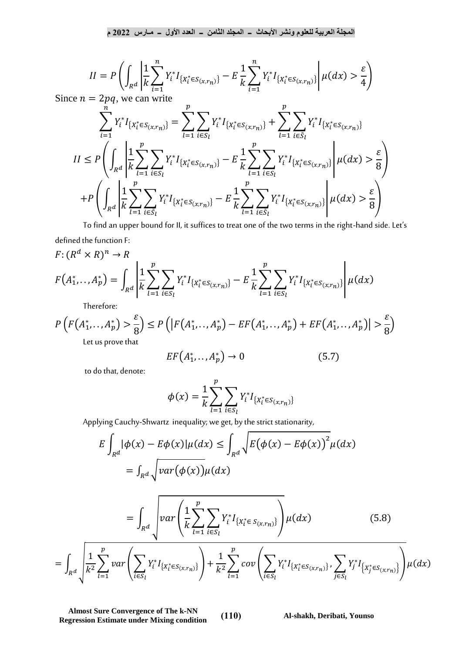$$
II = P\left(\int_{R^d} \left|\frac{1}{k}\sum_{i=1}^n Y_i^* I_{\{X_i^* \in S_{(x,r_n)}\}} - E\frac{1}{k}\sum_{i=1}^n Y_i^* I_{\{X_i^* \in S_{(x,r_n)}\}} \right| \mu(dx) > \frac{\varepsilon}{4}\right)
$$

Since  $n = 2pq$ , we can write

$$
\sum_{i=1}^{n} Y_{i}^{*} I_{\{X_{i}^{*} \in S_{(x,r_{n})}\}} = \sum_{l=1}^{p} \sum_{i \in S_{l}} Y_{i}^{*} I_{\{X_{l}^{*} \in S_{(x,r_{n})}\}} + \sum_{l=1}^{p} \sum_{i \in \tilde{S}_{l}} Y_{i}^{*} I_{\{X_{l}^{*} \in S_{(x,r_{n})}\}}
$$
\n
$$
II \le P \left( \int_{R^{d}} \left| \frac{1}{k} \sum_{l=1}^{p} \sum_{i \in S_{l}} Y_{i}^{*} I_{\{X_{l}^{*} \in S_{(x,r_{n})}\}} - E \frac{1}{k} \sum_{l=1}^{p} \sum_{i \in S_{l}} Y_{i}^{*} I_{\{X_{l}^{*} \in S_{(x,r_{n})}\}} \right| \mu(dx) > \frac{\varepsilon}{8} \right)
$$
\n
$$
+ P \left( \int_{R^{d}} \left| \frac{1}{k} \sum_{l=1}^{p} \sum_{i \in \tilde{S}_{l}} Y_{i}^{*} I_{\{X_{l}^{*} \in S_{(x,r_{n})}\}} - E \frac{1}{k} \sum_{l=1}^{p} \sum_{i \in \tilde{S}_{l}} Y_{i}^{*} I_{\{X_{l}^{*} \in S_{(x,r_{n})}\}} \right| \mu(dx) > \frac{\varepsilon}{8} \right)
$$

To find an upper bound for II, it suffices to treat one of the two terms in the right-hand side. Let's defined the function F:

$$
F: (R^d \times R)^n \to R
$$
  

$$
F(A_1^*, \dots, A_p^*) = \int_{R^d} \left| \frac{1}{k} \sum_{l=1}^p \sum_{i \in S_l} Y_i^* I_{\{X_l^* \in S_{(x,r_n)}\}} - E \frac{1}{k} \sum_{l=1}^p \sum_{i \in S_l} Y_i^* I_{\{X_l^* \in S_{(x,r_n)}\}} \right| \mu(dx)
$$

Therefore:

$$
P\left(F\left(A_1^*,\dots,A_p^*\right) > \frac{\varepsilon}{8}\right) \le P\left(\left|F\left(A_1^*,\dots,A_p^*\right) - EF\left(A_1^*,\dots,A_p^*\right) + EF\left(A_1^*,\dots,A_p^*\right)\right| > \frac{\varepsilon}{8}\right)
$$
\nlet us prove that

Let us prove that

$$
EF(A_1^*,\ldots,A_p^*) \to 0 \tag{5.7}
$$

to do that, denote:

$$
\phi(x) = \frac{1}{k} \sum_{l=1}^{p} \sum_{i \in S_l} Y_i^* I_{\{X_l^* \in S_{(x,r_n)}\}}
$$

Applying Cauchy-Shwartz inequality; we get, by the strict stationarity,

$$
E \int_{R^{d}} |\phi(x) - E\phi(x)| \mu(dx) \leq \int_{R^{d}} \sqrt{E(\phi(x) - E\phi(x))^{2}} \mu(dx)
$$
  
\n
$$
= \int_{R^{d}} \sqrt{var(\phi(x))} \mu(dx)
$$
  
\n
$$
= \int_{R^{d}} \sqrt{var\left(\frac{1}{k} \sum_{l=1}^{p} \sum_{i \in S_{l}} Y_{i}^{*} I_{\{X_{l}^{*} \in S_{(x,r_{n})\}}}\right)} \mu(dx)
$$
(5.8)  
\n
$$
= \int_{R^{d}} \sqrt{\frac{1}{k^{2}} \sum_{l=1}^{p} var\left(\sum_{i \in S_{l}} Y_{i}^{*} I_{\{X_{l}^{*} \in S_{(x,r_{n})\}}}\right) + \frac{1}{k^{2}} \sum_{l=1}^{p} cov\left(\sum_{i \in S_{l}} Y_{i}^{*} I_{\{X_{l}^{*} \in S_{(x,r_{n})\}}\right)} \sum_{j \in S_{l}} Y_{j}^{*} I_{\{X_{j}^{*} \in S_{(x,r_{n})\}}}\right)} \mu(dx)
$$

**Almost Sure Convergence of The k-NN Regression Estimate under Mixing condition** (110) Al-shakh, Deribati, Younso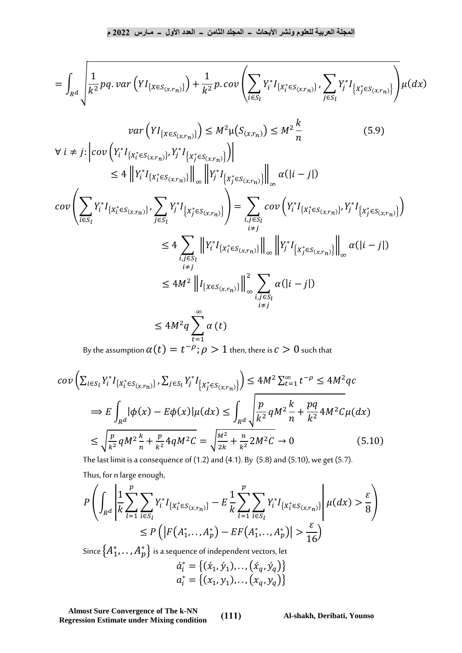$$
= \int_{R^d} \left( \frac{1}{k^2} pq \cdot var \left( Y I_{\{ X \in S_{(x,r_n)} \}} \right) + \frac{1}{k^2} p \cdot cov \left( \sum_{i \in S_l} Y_i^* I_{\{ X_l^* \in S_{(x,r_n)} \}} , \sum_{j \in S_l} Y_j^* I_{\{ X_j^* \in S_{(x,r_n)} \}} \right) \mu(dx) \right)
$$

$$
var(YI_{\{X \in S_{(x,r_n)}\}}) \le M^2 \mu(S_{(x,r_n)}) \le M^2 \frac{k}{n}
$$
(5.9)  

$$
\forall i \ne j: \left| cov\left(Y_i^* I_{\{X_i^* \in S_{(x,r_n)}\}}, Y_j^* I_{\{X_j^* \in S_{(x,r_n)}\}}\right) \right|
$$
  

$$
\le 4 \left\|Y_i^* I_{\{X_i^* \in S_{(x,r_n)}\}} \right\|_{\infty} \left\|Y_j^* I_{\{X_j^* \in S_{(x,r_n)}\}} \right\|_{\infty} \alpha(|i-j|)
$$

$$
cov\left(\sum_{i\in S_l} Y_i^* I_{\{X_l^* \in S_{(x,r_n)\}}}, \sum_{j\in S_l} Y_j^* I_{\{X_j^* \in S_{(x,r_n)\}}}\right) = \sum_{\substack{i,j\in S_l \\ i\neq j}} cov\left(Y_i^* I_{\{X_l^* \in S_{(x,r_n)\}}}\right) Y_j^* I_{\{X_j^* \in S_{(x,r_n)\}}}\right)
$$
  

$$
\leq 4 \sum_{\substack{i,j\in S_l \\ i\neq j}} \left\|Y_i^* I_{\{X_l^* \in S_{(x,r_n)\}}}\right\|_{\infty} \left\|Y_j^* I_{\{X_j^* \in S_{(x,r_n)\}}}\right\|_{\infty} \alpha(|i-j|)
$$
  

$$
\leq 4M^2 \left\|I_{\{x\in S_{(x,r_n)\}}}\right\|_{\infty}^2 \sum_{\substack{i,j\in S_l \\ i\neq j}} \alpha(|i-j|)
$$

By the assumption  $\alpha(t)=t^{-\rho};\rho>1$  then, there is  $c>0$  such that

$$
cov\left(\sum_{i\in S_l} Y_i^* I_{\{X_l^* \in S_{(x,r_n)\}}}, \sum_{j\in S_l} Y_j^* I_{\{X_j^* \in S_{(x,r_n)\}}}\right) \le 4M^2 \sum_{t=1}^{\infty} t^{-\rho} \le 4M^2 qc
$$
  
\n
$$
\Rightarrow E\int_{R^d} |\phi(x) - E\phi(x)| \mu(dx) \le \int_{R^d} \sqrt{\frac{p}{k^2} q M^2 \frac{k}{n} + \frac{pq}{k^2}} 4M^2 C \mu(dx)
$$
  
\n
$$
\le \sqrt{\frac{p}{k^2} q M^2 \frac{k}{n} + \frac{p}{k^2}} 4q M^2 C = \sqrt{\frac{M^2}{2k} + \frac{n}{k^2}} 2M^2 C \to 0
$$
 (5.10)

The last limit is a consequence of  $(1.2)$  and  $(4.1)$ . By  $(5.8)$  and  $(5.10)$ , we get  $(5.7)$ .

Thus, for n large enough,

$$
P\left(\int_{R^d} \left| \frac{1}{k} \sum_{l=1}^p \sum_{i \in S_l} Y_i^* I_{\{X_l^* \in S_{(x,r_n)}\}} - E\frac{1}{k} \sum_{l=1}^p \sum_{i \in S_l} Y_i^* I_{\{X_l^* \in S_{(x,r_n)}\}} \right| \mu(dx) > \frac{\varepsilon}{8}\right)
$$
  
\$\leq P\left(\left|F(A\_1^\*, \dots, A\_p^\*) - EF(A\_1^\*, \dots, A\_p^\*)\right| > \frac{\varepsilon}{16}\right)\$

Since  $\{A_1^*, \ldots, A_p^*\}$  is a sequence of independent vectors, let

$$
\begin{aligned}\n\hat{a}_i^* &= \{ (\acute{x}_1, \acute{y}_1), \dots, (\acute{x}_q, \acute{y}_q) \} \\
a_i^* &= \{ (x_1, y_1), \dots, (x_q, y_q) \}\n\end{aligned}
$$

**Almost Sure Convergence of The k-NN Regression Estimate under Mixing condition** (111) Al-shakh, Deribati, Younso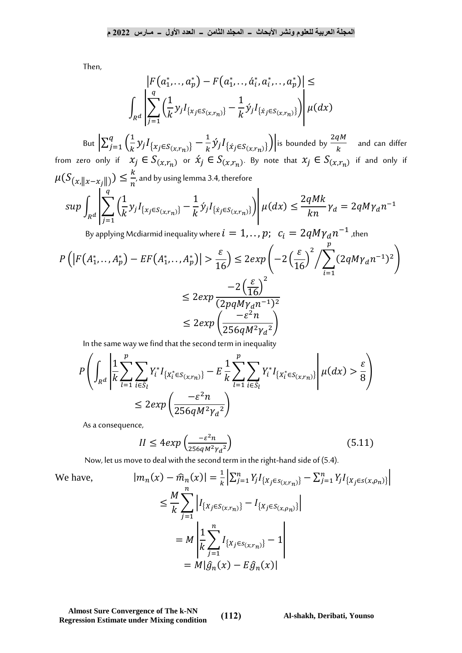Then,

$$
\left| F(a_1^*, \ldots, a_p^*) - F(a_1^*, \ldots, a_i^*, a_i^*, \ldots, a_p^*) \right| \le
$$
  

$$
\int_{R^d} \left| \sum_{j=1}^q \left( \frac{1}{k} y_j I_{\{x_j \in S(x, r_n)\}} - \frac{1}{k} \dot{y}_j I_{\{\dot{x}_j \in S(x, r_n)\}} \right) \right| \mu(dx)
$$

But  $\sum_{i=1}^{q} \left(\frac{1}{k}\right)$  $\frac{q}{j=1} \Big( \frac{1}{k} y_j I_{\{x_j \in S_{(x,r_n)}\}} - \frac{1}{k} \acute{y}_j I_{\{\acute{x}_j \in S_{(x,r_n)}\}} \Big) \Big|$  is bounded by  $\frac{2qM}{k}$  $\frac{1}{k} y_j I_{\{x_j \in S_{(x,r_n)}\}} - \frac{1}{k}$  ${}_{j=1}^{q} \left( \frac{1}{k} y_j I_{\{x_j \in S_{(x,r_n)}\}} - \frac{1}{k} \dot{y}_j I_{\{\dot{x}_j \in S_{(x,r_n)}\}} \right)$  $\frac{q_1}{k}$  and can differ from zero only if  $x_j \in S_{(x,r_n)}$  or  $\acute{x}_j \in S_{(x,r_n)}$ . By note that  $x_j \in S_{(x,r_n)}$  if and only if  $\mu(S_{(x,\|x-x_j\|)}) \leq \frac{k}{n}$  $\frac{\pi}{n}$ , and by using lemma 3.4, therefore  $\overline{1}$  $\overline{q}$ 

$$
\sup \int_{R^d} \left| \sum_{j=1}^{\cdot} \left( \frac{1}{k} y_j I_{\{x_j \in S_{(x,r_n)}\}} - \frac{1}{k} \dot{y}_j I_{\{\dot{x}_j \in S_{(x,r_n)}\}} \right) \right| \mu(dx) \le \frac{2qMk}{kn} \gamma_d = 2qM\gamma_d n^{-1}
$$

By applying Mcdiarmid inequality where  $i=1,..$  ,  $p;\,\,$   $c_i=2 q M \gamma_d n^{-1}$  ,then

$$
P\left(\left|F(A_1^*,\ldots,A_p^*) - EF(A_1^*,\ldots,A_p^*)\right| > \frac{\varepsilon}{16}\right) \le 2exp\left(-2\left(\frac{\varepsilon}{16}\right)^2 / \sum_{i=1}^p (2qM\gamma_d n^{-1})^2\right) \\
 \le 2exp\frac{-2\left(\frac{\varepsilon}{16}\right)^2}{(2pqM\gamma_d n^{-1})^2} \\
 \le 2exp\left(\frac{-\varepsilon^2 n}{256qM^2\gamma_d^2}\right)
$$

In the same way we find that the second term in inequality

$$
P\left(\int_{R^d} \left| \frac{1}{k} \sum_{l=1}^p \sum_{i \in S_l} Y_i^* I_{\{X_l^* \in S_{(x,r_n)}\}} - E\frac{1}{k} \sum_{l=1}^p \sum_{i \in S_l} Y_i^* I_{\{X_l^* \in S_{(x,r_n)}\}} \right| \mu(dx) > \frac{\varepsilon}{8}\right)
$$
  

$$
\leq 2 \exp\left(\frac{-\varepsilon^2 n}{256qM^2 \gamma_d^2}\right)
$$

As a consequence,

$$
II \le 4 \exp\left(\frac{-\varepsilon^2 n}{256 q M^2 \gamma_d^2}\right) \tag{5.11}
$$

Now, let us move to deal with the second term in the right-hand side of (5.4).

We have,  
\n
$$
|m_n(x) - \hat{m}_n(x)| = \frac{1}{k} \left| \sum_{j=1}^n Y_j I_{\{X_j \in S(x, r_n)\}} - \sum_{j=1}^n Y_j I_{\{X_j \in S(x, \rho_n)\}} \right|
$$
\n
$$
\leq \frac{M}{k} \sum_{j=1}^n \left| I_{\{X_j \in S(x, r_n)\}} - I_{\{X_j \in S(x, \rho_n)\}} \right|
$$
\n
$$
= M \left| \frac{1}{k} \sum_{j=1}^n I_{\{X_j \in S(x, r_n)\}} - 1 \right|
$$
\n
$$
= M \left| \hat{g}_n(x) - E \hat{g}_n(x) \right|
$$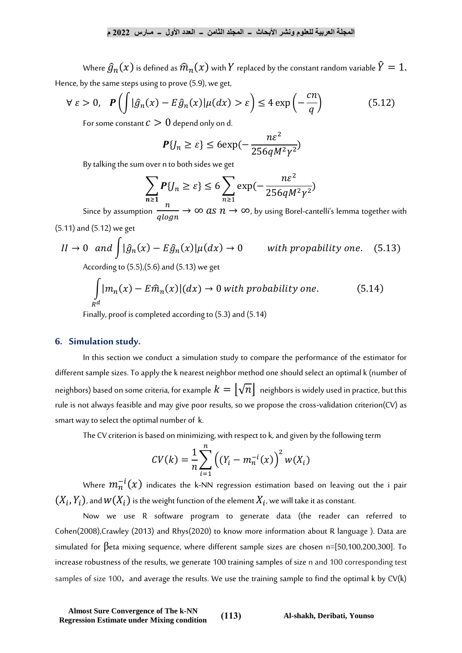Where  $\widehat{g}_n(x)$  is defined as  $\widehat{m}_n(x)$  with  $Y$  replaced by the constant random variable  $\widehat{Y}=1.$ Hence, by the same steps using to prove (5.9), we get,

$$
\forall \ \varepsilon > 0, \quad \mathbf{P}\left(\int |\hat{g}_n(x) - E\hat{g}_n(x)| \mu(dx) > \varepsilon\right) \le 4 \exp\left(-\frac{cn}{q}\right) \tag{5.12}
$$

For some constant  $c > 0$  depend only on d.

$$
\mathbf{P}\{J_n \ge \varepsilon\} \le 6 \exp(-\frac{n\varepsilon^2}{256qM^2\gamma^2})
$$

By talking the sum over n to both sides we get

$$
\sum_{n\geq 1} P\{J_n \geq \varepsilon\} \leq 6 \sum_{n\geq 1} \exp(-\frac{n\varepsilon^2}{256qM^2\gamma^2})
$$

Since by assumption  $\frac{n}{\sigma^{12}}$  $\frac{n}{qlogn} \to \infty$  as  $n \to \infty$ , by using Borel-cantelli's lemma together with  $(F.11)$  and  $(F.12)$ 

$$
(5.11)
$$
 and  $(5.12)$  we get

$$
II \to 0 \quad and \quad \int |\hat{g}_n(x) - E\hat{g}_n(x)| \mu(dx) \to 0 \qquad \text{with probability one.} \tag{5.13}
$$

According to (5.5),(5.6) and (5.13) we get

$$
\int_{R^d} |m_n(x) - E\hat{m}_n(x)| (dx) \to 0 \text{ with probability one.}
$$
 (5.14)

Finally, proof is completed according to (5.3) and (5.14)

## **6. Simulation study.**

In this section we conduct a simulation study to compare the performance of the estimator for different sample sizes. To apply the k nearest neighbor method one should select an optimal k (number of neighbors) based on some criteria, for example  $k=\lvert\sqrt{n}\rvert\,$  neighbors is widely used in practice, but this rule is not always feasible and may give poor results, so we propose the cross-validation criterion(CV) as smart way to select the optimal number of k.

The CV criterion is based on minimizing, with respect to k, and given by the following term

$$
CV(k) = \frac{1}{n} \sum_{i=1}^{n} ((Y_i - m_n^{-i}(x)))^{2} w(X_i)
$$

Where  $m^{-i}_n(x)$  indicates the k-NN regression estimation based on leaving out the i pair  $(X_i,Y_i)$ , and  $w(X_i)$  is the weight function of the element  $X_i$ , we will take it as constant.

Now we use R software program to generate data (the reader can referred to Cohen(2008),Crawley (2013) and Rhys(2020) to know more information about R language ). Data are simulated for βeta mixing sequence, where different sample sizes are chosen n=[50,100,200,300]. To increase robustness of the results, we generate 100 training samples of size n and 100 corresponding test samples of size 100, and average the results. We use the training sample to find the optimal k by CV(k)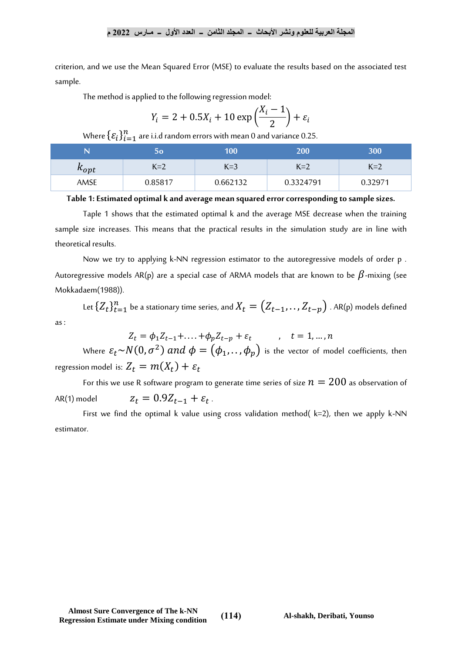criterion, and we use the Mean Squared Error (MSE) to evaluate the results based on the associated test sample.

The method is applied to the following regression model:

$$
Y_i = 2 + 0.5X_i + 10 \exp\left(\frac{X_i - 1}{2}\right) + \varepsilon_i
$$

Where  $\{\varepsilon_i\}_{i=1}^n$  are i.i.d random errors with mean 0 and variance 0.25.

| N         | 50      | 100'     | 200       | 300     |
|-----------|---------|----------|-----------|---------|
| $k_{opt}$ | $K=2$   | $K=3$    | $K=2$     | $K=2$   |
| AMSE      | 0.85817 | 0.662132 | 0.3324791 | 0.32971 |

**Table 1: Estimated optimal k and average mean squared error corresponding to sample sizes.**

Taple 1 shows that the estimated optimal k and the average MSE decrease when the training sample size increases. This means that the practical results in the simulation study are in line with theoretical results.

Now we try to applying k-NN regression estimator to the autoregressive models of order p . Autoregressive models AR(p) are a special case of ARMA models that are known to be  $\beta$ -mixing (see Mokkadaem(1988)).

Let  $\{Z_t\}_{t=1}^n$  be a stationary time series, and  $X_t = \left( Z_{t-1}, \ldots, Z_{t-p} \right)$  . AR(p) models defined as :

 $Z_t = \phi_1 Z_{t-1} + \dots + \phi_p Z_{t-p} + \varepsilon_t$ ,  $t = 1, \dots, n$ 

Where  $\varepsilon_t{\sim}N(0,\sigma^2)$   $and$   $\phi=\left(\phi_1,.\,.\,,\phi_p\right)$  is the vector of model coefficients, then regression model is:  $Z_t = m(X_t) + \varepsilon_t$ 

For this we use R software program to generate time series of size  $n = 200$  as observation of AR(1) model  $z_t = 0.9Z_{t-1} + \varepsilon_t$ . .

First we find the optimal k value using cross validation method( $k=2$ ), then we apply k-NN estimator.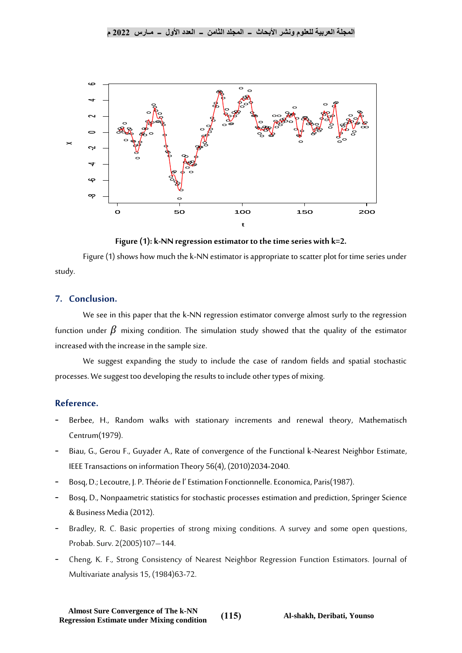

**Figure (1): k-NN regression estimator to the time series with k=2.**

Figure (1) shows how much the k-NN estimator is appropriate to scatter plot for time series under study.

## **7. Conclusion.**

We see in this paper that the k-NN regression estimator converge almost surly to the regression function under  $\beta$  mixing condition. The simulation study showed that the quality of the estimator increased with the increase in the sample size.

We suggest expanding the study to include the case of random fields and spatial stochastic processes. We suggest too developing the results to include other types of mixing.

# **Reference.**

- Berbee, H., Random walks with stationary increments and renewal theory, Mathematisch Centrum(1979).
- Biau, G., Gerou F., Guyader A., Rate of convergence of the Functional k-Nearest Neighbor Estimate, IEEE Transactions on information Theory 56(4), (2010)2034-2040.
- Bosq, D.; Lecoutre, J. P. Théorie de l'Estimation Fonctionnelle. Economica, Paris(1987).
- Bosq, D., Nonpaametric statistics for stochastic processes estimation and prediction, Springer Science & Business Media (2012).
- Bradley, R. C. Basic properties of strong mixing conditions. A survey and some open questions, Probab. Surv. 2(2005)107–144.
- Cheng, K. F., Strong Consistency of Nearest Neighbor Regression Function Estimators. Journal of Multivariate analysis 15, (1984)63-72.